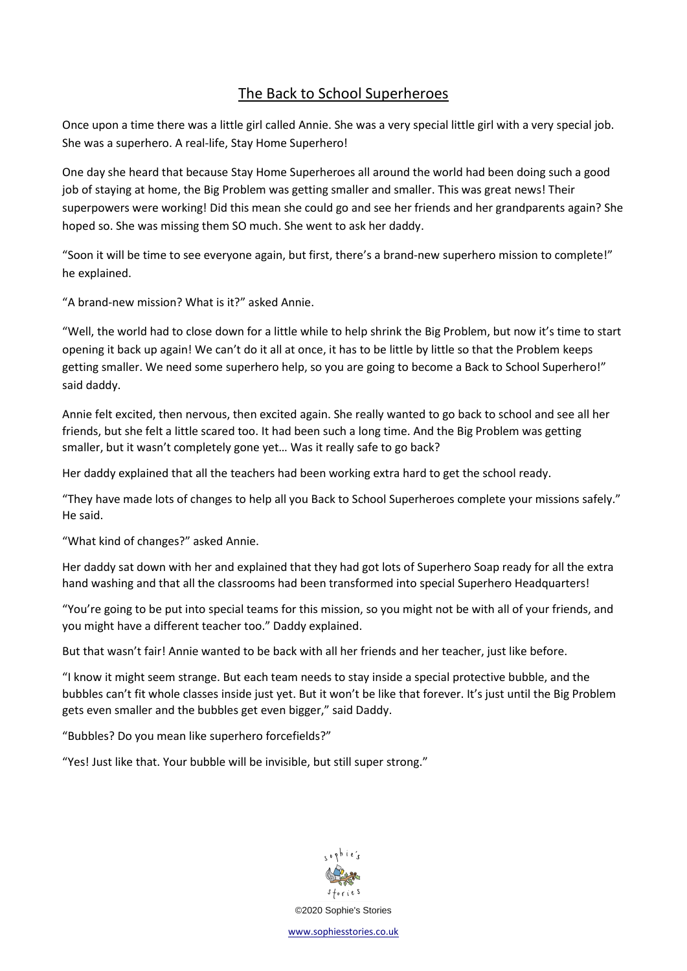## The Back to School Superheroes

Once upon a time there was a little girl called Annie. She was a very special little girl with a very special job. She was a superhero. A real-life, Stay Home Superhero!

One day she heard that because Stay Home Superheroes all around the world had been doing such a good job of staying at home, the Big Problem was getting smaller and smaller. This was great news! Their superpowers were working! Did this mean she could go and see her friends and her grandparents again? She hoped so. She was missing them SO much. She went to ask her daddy.

"Soon it will be time to see everyone again, but first, there's a brand-new superhero mission to complete!" he explained.

"A brand-new mission? What is it?" asked Annie.

"Well, the world had to close down for a little while to help shrink the Big Problem, but now it's time to start opening it back up again! We can't do it all at once, it has to be little by little so that the Problem keeps getting smaller. We need some superhero help, so you are going to become a Back to School Superhero!" said daddy.

Annie felt excited, then nervous, then excited again. She really wanted to go back to school and see all her friends, but she felt a little scared too. It had been such a long time. And the Big Problem was getting smaller, but it wasn't completely gone yet… Was it really safe to go back?

Her daddy explained that all the teachers had been working extra hard to get the school ready.

"They have made lots of changes to help all you Back to School Superheroes complete your missions safely." He said.

"What kind of changes?" asked Annie.

Her daddy sat down with her and explained that they had got lots of Superhero Soap ready for all the extra hand washing and that all the classrooms had been transformed into special Superhero Headquarters!

"You're going to be put into special teams for this mission, so you might not be with all of your friends, and you might have a different teacher too." Daddy explained.

But that wasn't fair! Annie wanted to be back with all her friends and her teacher, just like before.

"I know it might seem strange. But each team needs to stay inside a special protective bubble, and the bubbles can't fit whole classes inside just yet. But it won't be like that forever. It's just until the Big Problem gets even smaller and the bubbles get even bigger," said Daddy.

"Bubbles? Do you mean like superhero forcefields?"

"Yes! Just like that. Your bubble will be invisible, but still super strong."



[www.sophiesstories.co.uk](http://www.sophiesstories.co.uk/)